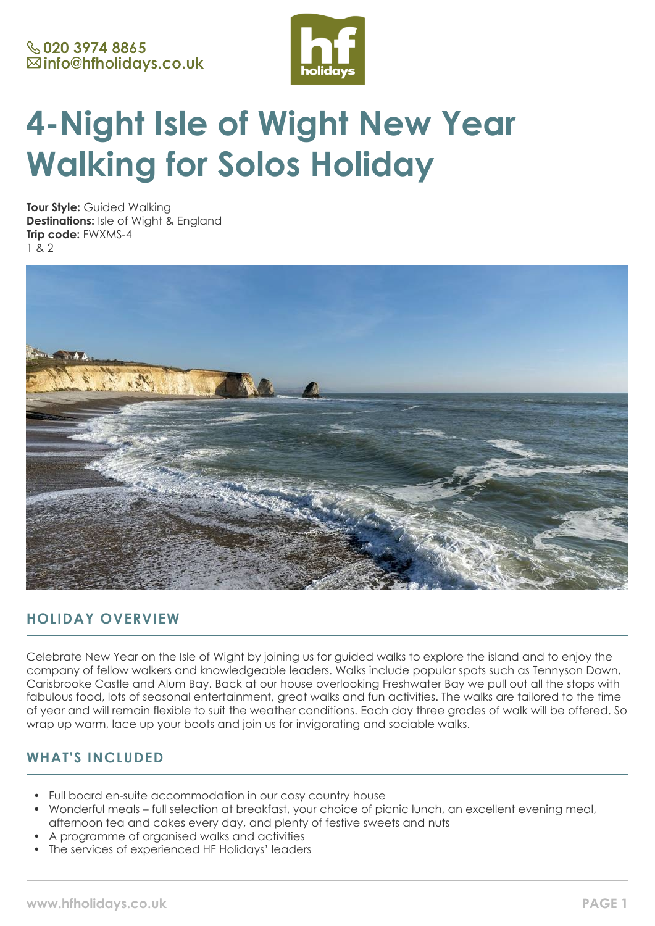

# **4-Night Isle of Wight New Year Walking for Solos Holiday**

**Tour Style:** Guided Walking **Destinations:** Isle of Wight & England **Trip code:** FWXMS-4 1 & 2



# **HOLIDAY OVERVIEW**

Celebrate New Year on the Isle of Wight by joining us for guided walks to explore the island and to enjoy the company of fellow walkers and knowledgeable leaders. Walks include popular spots such as Tennyson Down, Carisbrooke Castle and Alum Bay. Back at our house overlooking Freshwater Bay we pull out all the stops with fabulous food, lots of seasonal entertainment, great walks and fun activities. The walks are tailored to the time of year and will remain flexible to suit the weather conditions. Each day three grades of walk will be offered. So wrap up warm, lace up your boots and join us for invigorating and sociable walks.

# **WHAT'S INCLUDED**

- Full board en-suite accommodation in our cosy country house
- Wonderful meals full selection at breakfast, your choice of picnic lunch, an excellent evening meal, afternoon tea and cakes every day, and plenty of festive sweets and nuts
- A programme of organised walks and activities
- The services of experienced HF Holidays' leaders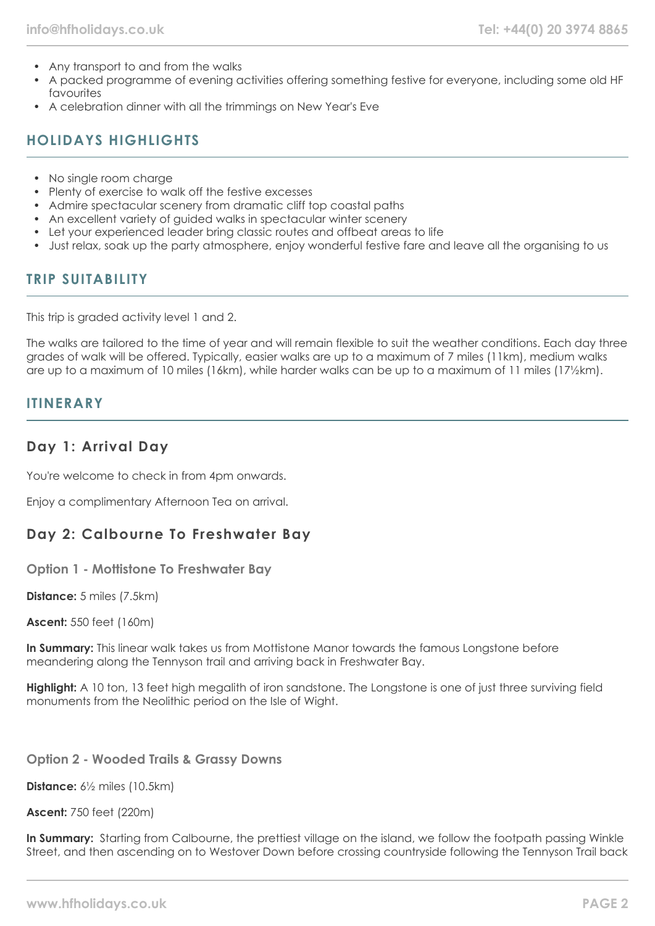- Any transport to and from the walks
- A packed programme of evening activities offering something festive for everyone, including some old HF favourites
- A celebration dinner with all the trimmings on New Year's Eve

# **HOLIDAYS HIGHLIGHTS**

- No single room charge
- Plenty of exercise to walk off the festive excesses
- Admire spectacular scenery from dramatic cliff top coastal paths
- An excellent variety of auided walks in spectacular winter scenery
- Let your experienced leader bring classic routes and offbeat areas to life
- Just relax, soak up the party atmosphere, enjoy wonderful festive fare and leave all the organising to us

# **TRIP SUITABILITY**

This trip is graded activity level 1 and 2.

The walks are tailored to the time of year and will remain flexible to suit the weather conditions. Each day three grades of walk will be offered. Typically, easier walks are up to a maximum of 7 miles (11km), medium walks are up to a maximum of 10 miles (16km), while harder walks can be up to a maximum of 11 miles (17½km).

#### **ITINERARY**

## **Day 1: Arrival Day**

You're welcome to check in from 4pm onwards.

Enjoy a complimentary Afternoon Tea on arrival.

# **Day 2: Calbourne To Freshwater Bay**

**Option 1 - Mottistone To Freshwater Bay**

**Distance:** 5 miles (7.5km)

**Ascent:** 550 feet (160m)

**In Summary:** This linear walk takes us from Mottistone Manor towards the famous Longstone before meandering along the Tennyson trail and arriving back in Freshwater Bay.

**Highlight:** A 10 ton, 13 feet high megalith of iron sandstone. The Longstone is one of just three surviving field monuments from the Neolithic period on the Isle of Wight.

**Option 2 - Wooded Trails & Grassy Downs**

**Distance:** 6½ miles (10.5km)

**Ascent:** 750 feet (220m)

**In Summary:** Starting from Calbourne, the prettiest village on the island, we follow the footpath passing Winkle Street, and then ascending on to Westover Down before crossing countryside following the Tennyson Trail back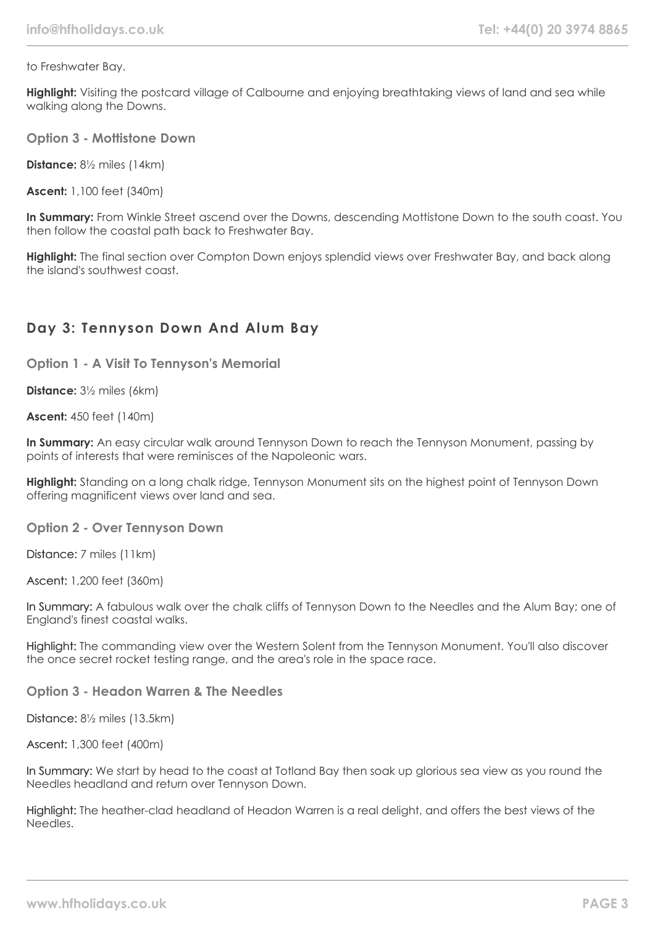to Freshwater Bay.

**Highlight:** Visiting the postcard village of Calbourne and enjoying breathtaking views of land and sea while walking along the Downs.

**Option 3 - Mottistone Down**

**Distance:** 8½ miles (14km)

**Ascent:** 1,100 feet (340m)

**In Summary:** From Winkle Street ascend over the Downs, descending Mottistone Down to the south coast. You then follow the coastal path back to Freshwater Bay.

**Highlight:** The final section over Compton Down enjoys splendid views over Freshwater Bay, and back along the island's southwest coast.

## **Day 3: Tennyson Down And Alum Bay**

**Option 1 - A Visit To Tennyson's Memorial**

**Distance:** 3½ miles (6km)

**Ascent:** 450 feet (140m)

**In Summary:** An easy circular walk around Tennyson Down to reach the Tennyson Monument, passing by points of interests that were reminisces of the Napoleonic wars.

**Highlight:** Standing on a long chalk ridge, Tennyson Monument sits on the highest point of Tennyson Down offering magnificent views over land and sea.

**Option 2 - Over Tennyson Down**

Distance: 7 miles (11km)

Ascent: 1,200 feet (360m)

In Summary: A fabulous walk over the chalk cliffs of Tennyson Down to the Needles and the Alum Bay; one of England's finest coastal walks.

Highlight: The commanding view over the Western Solent from the Tennyson Monument. You'll also discover the once secret rocket testing range, and the area's role in the space race.

**Option 3 - Headon Warren & The Needles**

Distance: 8½ miles (13.5km)

Ascent: 1,300 feet (400m)

In Summary: We start by head to the coast at Totland Bay then soak up glorious sea view as you round the Needles headland and return over Tennyson Down.

Highlight: The heather-clad headland of Headon Warren is a real delight, and offers the best views of the Needles.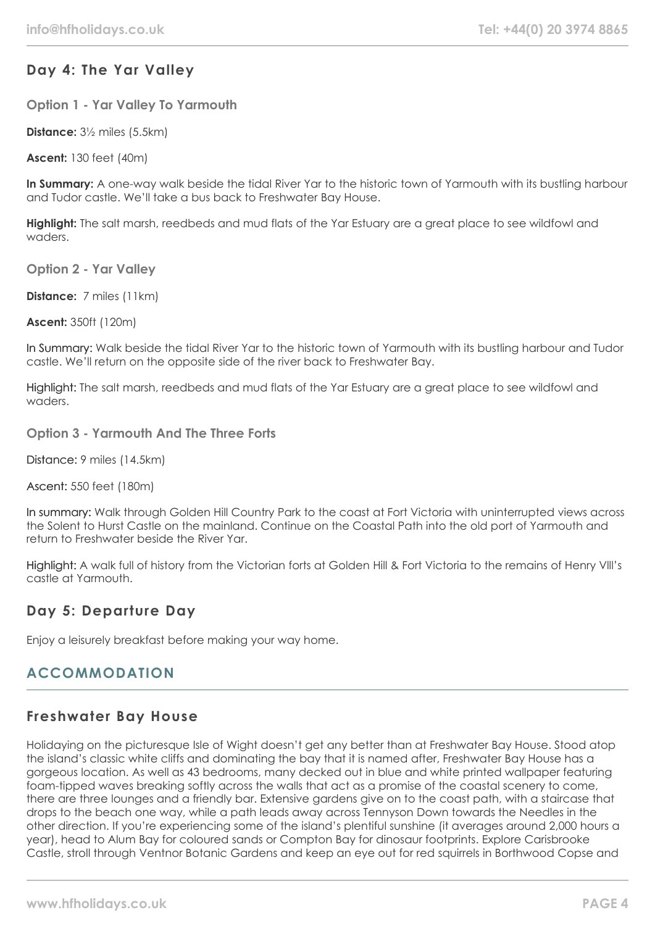# **Day 4: The Yar Valley**

**Option 1 - Yar Valley To Yarmouth**

**Distance:** 3½ miles (5.5km)

**Ascent:** 130 feet (40m)

**In Summary:** A one-way walk beside the tidal River Yar to the historic town of Yarmouth with its bustling harbour and Tudor castle. We'll take a bus back to Freshwater Bay House.

**Highlight:** The salt marsh, reedbeds and mud flats of the Yar Estuary are a great place to see wildfowl and waders.

**Option 2 - Yar Valley**

**Distance:** 7 miles (11km)

**Ascent:** 350ft (120m)

In Summary: Walk beside the tidal River Yar to the historic town of Yarmouth with its bustling harbour and Tudor castle. We'll return on the opposite side of the river back to Freshwater Bay.

Highlight: The salt marsh, reedbeds and mud flats of the Yar Estuary are a great place to see wildfowl and waders.

**Option 3 - Yarmouth And The Three Forts**

Distance: 9 miles (14.5km)

Ascent: 550 feet (180m)

In summary: Walk through Golden Hill Country Park to the coast at Fort Victoria with uninterrupted views across the Solent to Hurst Castle on the mainland. Continue on the Coastal Path into the old port of Yarmouth and return to Freshwater beside the River Yar.

Highlight: A walk full of history from the Victorian forts at Golden Hill & Fort Victoria to the remains of Henry Vlll's castle at Yarmouth.

## **Day 5: Departure Day**

Enjoy a leisurely breakfast before making your way home.

# **ACCOMMODATION**

#### **Freshwater Bay House**

Holidaying on the picturesque Isle of Wight doesn't get any better than at Freshwater Bay House. Stood atop the island's classic white cliffs and dominating the bay that it is named after, Freshwater Bay House has a gorgeous location. As well as 43 bedrooms, many decked out in blue and white printed wallpaper featuring foam-tipped waves breaking softly across the walls that act as a promise of the coastal scenery to come, there are three lounges and a friendly bar. Extensive gardens give on to the coast path, with a staircase that drops to the beach one way, while a path leads away across Tennyson Down towards the Needles in the other direction. If you're experiencing some of the island's plentiful sunshine (it averages around 2,000 hours a year), head to Alum Bay for coloured sands or Compton Bay for dinosaur footprints. Explore Carisbrooke Castle, stroll through Ventnor Botanic Gardens and keep an eye out for red squirrels in Borthwood Copse and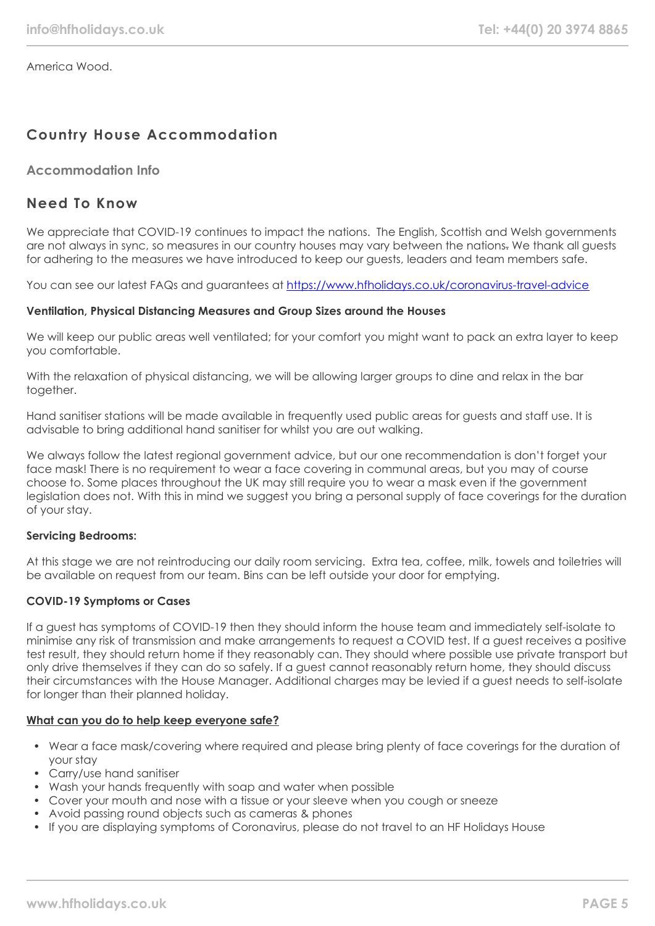America Wood.

# **Country House Accommodation**

#### **Accommodation Info**

#### **Need To Know**

We appreciate that COVID-19 continues to impact the nations. The English, Scottish and Welsh governments are not always in sync, so measures in our country houses may vary between the nations. We thank all guests for adhering to the measures we have introduced to keep our guests, leaders and team members safe.

You can see our latest FAQs and guarantees at <https://www.hfholidays.co.uk/coronavirus-travel-advice>

#### **Ventilation, Physical Distancing Measures and Group Sizes around the Houses**

We will keep our public areas well ventilated; for your comfort you might want to pack an extra layer to keep you comfortable.

With the relaxation of physical distancing, we will be allowing larger groups to dine and relax in the bar together.

Hand sanitiser stations will be made available in frequently used public areas for guests and staff use. It is advisable to bring additional hand sanitiser for whilst you are out walking.

We always follow the latest regional government advice, but our one recommendation is don't forget your face mask! There is no requirement to wear a face covering in communal areas, but you may of course choose to. Some places throughout the UK may still require you to wear a mask even if the government legislation does not. With this in mind we suggest you bring a personal supply of face coverings for the duration of your stay.

#### **Servicing Bedrooms:**

At this stage we are not reintroducing our daily room servicing. Extra tea, coffee, milk, towels and toiletries will be available on request from our team. Bins can be left outside your door for emptying.

#### **COVID-19 Symptoms or Cases**

If a guest has symptoms of COVID-19 then they should inform the house team and immediately self-isolate to minimise any risk of transmission and make arrangements to request a COVID test. If a guest receives a positive test result, they should return home if they reasonably can. They should where possible use private transport but only drive themselves if they can do so safely. If a guest cannot reasonably return home, they should discuss their circumstances with the House Manager. Additional charges may be levied if a guest needs to self-isolate for longer than their planned holiday.

#### **What can you do to help keep everyone safe?**

- Wear a face mask/covering where required and please bring plenty of face coverings for the duration of your stay
- Carry/use hand sanitiser
- Wash your hands frequently with soap and water when possible
- Cover your mouth and nose with a tissue or your sleeve when you cough or sneeze
- Avoid passing round objects such as cameras & phones
- If you are displaying symptoms of Coronavirus, please do not travel to an HF Holidays House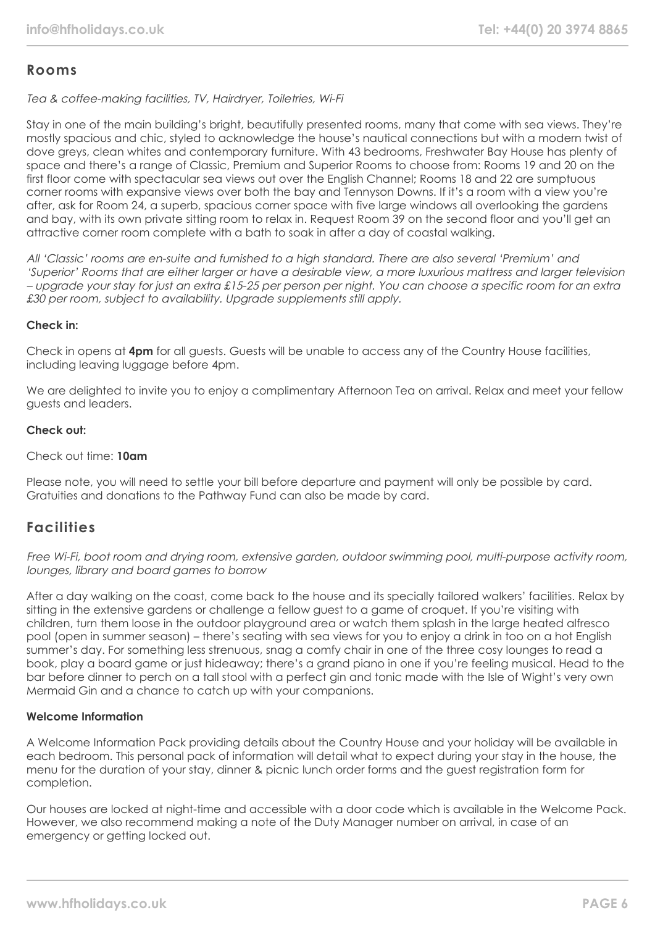#### **Rooms**

Tea & coffee-making facilities, TV, Hairdryer, Toiletries, Wi-Fi

Stay in one of the main building's bright, beautifully presented rooms, many that come with sea views. They're mostly spacious and chic, styled to acknowledge the house's nautical connections but with a modern twist of dove greys, clean whites and contemporary furniture. With 43 bedrooms, Freshwater Bay House has plenty of space and there's a range of Classic, Premium and Superior Rooms to choose from: Rooms 19 and 20 on the first floor come with spectacular sea views out over the English Channel; Rooms 18 and 22 are sumptuous corner rooms with expansive views over both the bay and Tennyson Downs. If it's a room with a view you're after, ask for Room 24, a superb, spacious corner space with five large windows all overlooking the gardens and bay, with its own private sitting room to relax in. Request Room 39 on the second floor and you'll get an attractive corner room complete with a bath to soak in after a day of coastal walking.

All 'Classic' rooms are en-suite and furnished to a high standard. There are also several 'Premium' and 'Superior' Rooms that are either larger or have a desirable view, a more luxurious mattress and larger television – upgrade your stay for just an extra £15-25 per person per night. You can choose a specific room for an extra £30 per room, subject to availability. Upgrade supplements still apply.

#### **Check in:**

Check in opens at **4pm** for all guests. Guests will be unable to access any of the Country House facilities, including leaving luggage before 4pm.

We are delighted to invite you to enjoy a complimentary Afternoon Tea on arrival. Relax and meet your fellow guests and leaders.

#### **Check out:**

#### Check out time: **10am**

Please note, you will need to settle your bill before departure and payment will only be possible by card. Gratuities and donations to the Pathway Fund can also be made by card.

## **Facilities**

Free Wi-Fi, boot room and drying room, extensive garden, outdoor swimming pool, multi-purpose activity room, lounges, library and board games to borrow

After a day walking on the coast, come back to the house and its specially tailored walkers' facilities. Relax by sitting in the extensive gardens or challenge a fellow guest to a game of croquet. If you're visiting with children, turn them loose in the outdoor playground area or watch them splash in the large heated alfresco pool (open in summer season) – there's seating with sea views for you to enjoy a drink in too on a hot English summer's day. For something less strenuous, snag a comfy chair in one of the three cosy lounges to read a book, play a board game or just hideaway; there's a grand piano in one if you're feeling musical. Head to the bar before dinner to perch on a tall stool with a perfect gin and tonic made with the Isle of Wight's very own Mermaid Gin and a chance to catch up with your companions.

#### **Welcome Information**

A Welcome Information Pack providing details about the Country House and your holiday will be available in each bedroom. This personal pack of information will detail what to expect during your stay in the house, the menu for the duration of your stay, dinner & picnic lunch order forms and the guest registration form for completion.

Our houses are locked at night-time and accessible with a door code which is available in the Welcome Pack. However, we also recommend making a note of the Duty Manager number on arrival, in case of an emergency or getting locked out.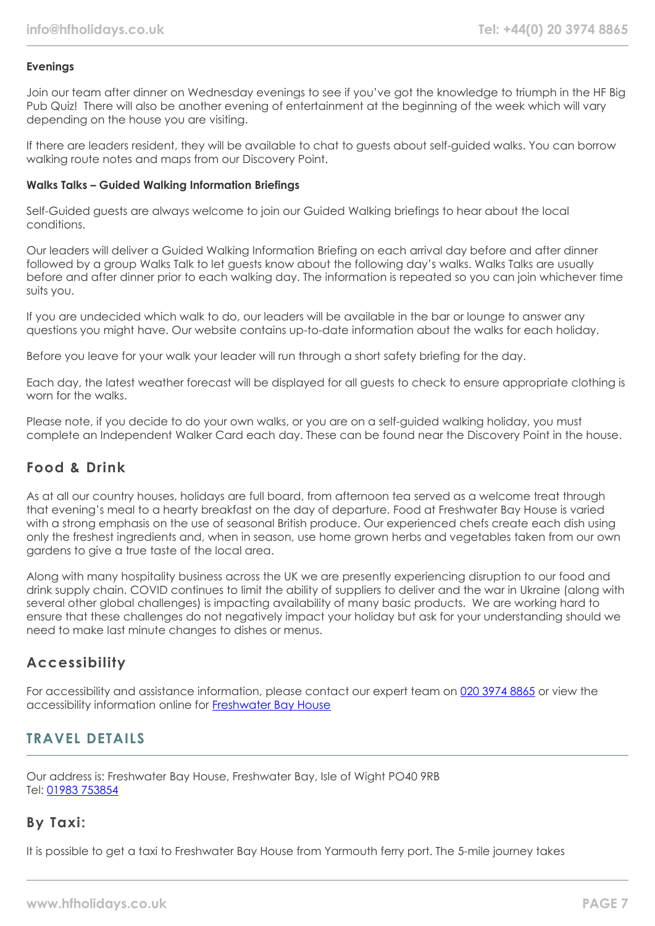#### **Evenings**

Join our team after dinner on Wednesday evenings to see if you've got the knowledge to triumph in the HF Big Pub Quiz! There will also be another evening of entertainment at the beginning of the week which will vary depending on the house you are visiting.

If there are leaders resident, they will be available to chat to guests about self-guided walks. You can borrow walking route notes and maps from our Discovery Point.

#### **Walks Talks – Guided Walking Information Briefings**

Self-Guided guests are always welcome to join our Guided Walking briefings to hear about the local conditions.

Our leaders will deliver a Guided Walking Information Briefing on each arrival day before and after dinner followed by a group Walks Talk to let guests know about the following day's walks. Walks Talks are usually before and after dinner prior to each walking day. The information is repeated so you can join whichever time suits you.

If you are undecided which walk to do, our leaders will be available in the bar or lounge to answer any questions you might have. Our website contains up-to-date information about the walks for each holiday.

Before you leave for your walk your leader will run through a short safety briefing for the day.

Each day, the latest weather forecast will be displayed for all guests to check to ensure appropriate clothing is worn for the walks.

Please note, if you decide to do your own walks, or you are on a self-guided walking holiday, you must complete an Independent Walker Card each day. These can be found near the Discovery Point in the house.

## **Food & Drink**

As at all our country houses, holidays are full board, from afternoon tea served as a welcome treat through that evening's meal to a hearty breakfast on the day of departure. Food at Freshwater Bay House is varied with a strong emphasis on the use of seasonal British produce. Our experienced chefs create each dish using only the freshest ingredients and, when in season, use home grown herbs and vegetables taken from our own gardens to give a true taste of the local area.

Along with many hospitality business across the UK we are presently experiencing disruption to our food and drink supply chain. COVID continues to limit the ability of suppliers to deliver and the war in Ukraine (along with several other global challenges) is impacting availability of many basic products. We are working hard to ensure that these challenges do not negatively impact your holiday but ask for your understanding should we need to make last minute changes to dishes or menus.

## **Accessibility**

For accessibility and assistance information, please contact our expert team on [020 3974 8865](tel:02039748865) or view the accessibility information online for [Freshwater Bay House](https://www.hfholidays.co.uk/images/Documents/accessibility_statements/freswater-bay-house---accessibility-information---update-mar-2021.pdf)

## **TRAVEL DETAILS**

Our address is: Freshwater Bay House, Freshwater Bay, Isle of Wight PO40 9RB Tel: [01983 753854](tel:01983753854)

## **By Taxi:**

It is possible to get a taxi to Freshwater Bay House from Yarmouth ferry port. The 5-mile journey takes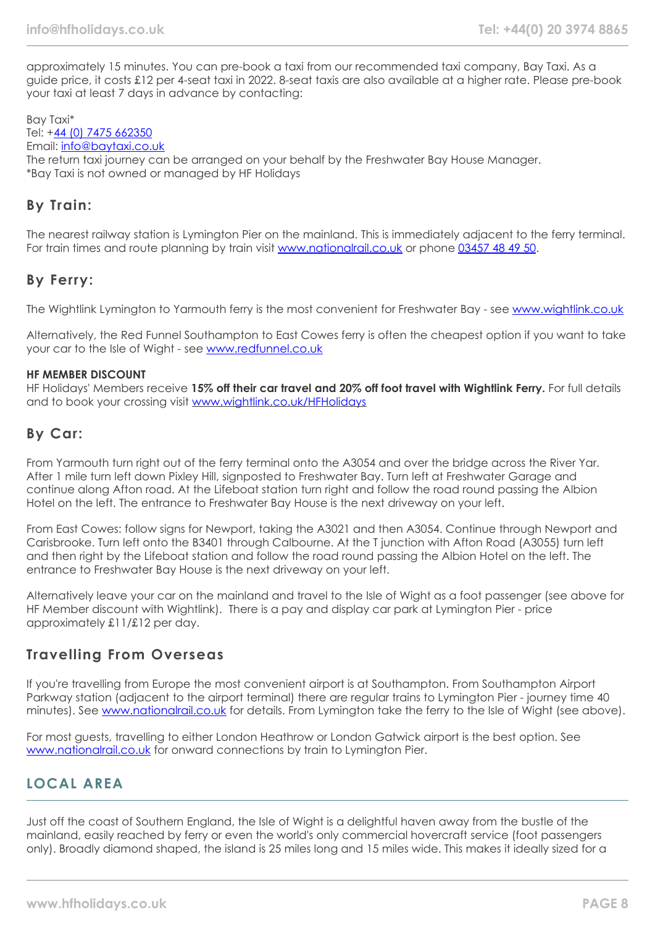approximately 15 minutes. You can pre-book a taxi from our recommended taxi company, Bay Taxi. As a guide price, it costs £12 per 4-seat taxi in 2022. 8-seat taxis are also available at a higher rate. Please pre-book your taxi at least 7 days in advance by contacting:

Bay Taxi\* Tel: +[44 \(0\) 7475 662350](tel:07475662350) Email: [info@baytaxi.co.uk](mailto:info@baytaxi.co.uk) The return taxi journey can be arranged on your behalf by the Freshwater Bay House Manager. \*Bay Taxi is not owned or managed by HF Holidays

## **By Train:**

The nearest railway station is Lymington Pier on the mainland. This is immediately adjacent to the ferry terminal. For train times and route planning by train visit [www.nationalrail.co.uk](https://www.nationalrail.co.uk/) or phone [03457 48 49 50](tel:03457484950).

#### **By Ferry:**

The Wightlink Lymington to Yarmouth ferry is the most convenient for Freshwater Bay - see [www.wightlink.co.uk](https://www.wightlink.co.uk/)

Alternatively, the Red Funnel Southampton to East Cowes ferry is often the cheapest option if you want to take your car to the Isle of Wight - see [www.redfunnel.co.uk](https://www.redfunnel.co.uk/)

#### **HF MEMBER DISCOUNT**

HF Holidays' Members receive **15% off their car travel and 20% off foot travel with Wightlink Ferry.** For full details and to book your crossing visit [www.wightlink.co.uk/HFHolidays](https://www.wightlink.co.uk/HFHolidays)

#### **By Car:**

From Yarmouth turn right out of the ferry terminal onto the A3054 and over the bridge across the River Yar. After 1 mile turn left down Pixley Hill, signposted to Freshwater Bay. Turn left at Freshwater Garage and continue along Afton road. At the Lifeboat station turn right and follow the road round passing the Albion Hotel on the left. The entrance to Freshwater Bay House is the next driveway on your left.

From East Cowes: follow signs for Newport, taking the A3021 and then A3054. Continue through Newport and Carisbrooke. Turn left onto the B3401 through Calbourne. At the T junction with Afton Road (A3055) turn left and then right by the Lifeboat station and follow the road round passing the Albion Hotel on the left. The entrance to Freshwater Bay House is the next driveway on your left.

Alternatively leave your car on the mainland and travel to the Isle of Wight as a foot passenger (see above for HF Member discount with Wightlink). There is a pay and display car park at Lymington Pier - price approximately £11/£12 per day.

#### **Travelling From Overseas**

If you're travelling from Europe the most convenient airport is at Southampton. From Southampton Airport Parkway station (adjacent to the airport terminal) there are regular trains to Lymington Pier - journey time 40 minutes). See [www.nationalrail.co.uk](https://www.nationalrail.co.uk/) for details. From Lymington take the ferry to the Isle of Wight (see above).

For most guests, travelling to either London Heathrow or London Gatwick airport is the best option. See [www.nationalrail.co.uk](https://www.nationalrail.co.uk/) for onward connections by train to Lymington Pier.

## **LOCAL AREA**

Just off the coast of Southern England, the Isle of Wight is a delightful haven away from the bustle of the mainland, easily reached by ferry or even the world's only commercial hovercraft service (foot passengers only). Broadly diamond shaped, the island is 25 miles long and 15 miles wide. This makes it ideally sized for a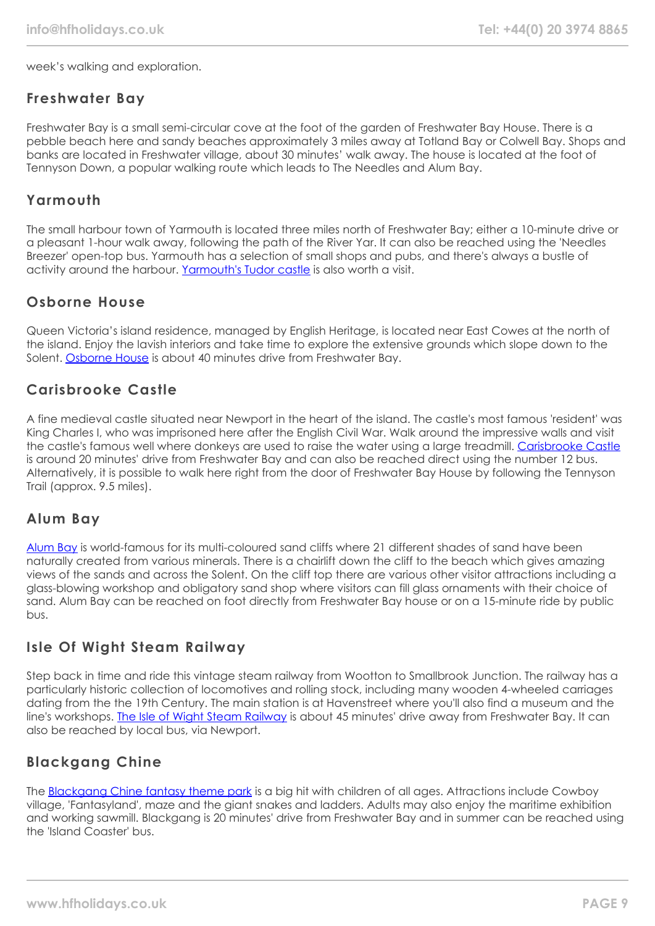week's walking and exploration.

#### **Freshwater Bay**

Freshwater Bay is a small semi-circular cove at the foot of the garden of Freshwater Bay House. There is a pebble beach here and sandy beaches approximately 3 miles away at Totland Bay or Colwell Bay. Shops and banks are located in Freshwater village, about 30 minutes' walk away. The house is located at the foot of Tennyson Down, a popular walking route which leads to The Needles and Alum Bay.

#### **Yarmouth**

The small harbour town of Yarmouth is located three miles north of Freshwater Bay; either a 10-minute drive or a pleasant 1-hour walk away, following the path of the River Yar. It can also be reached using the 'Needles Breezer' open-top bus. Yarmouth has a selection of small shops and pubs, and there's always a bustle of activity around the harbour. [Yarmouth's Tudor castle](https://www.english-heritage.org.uk/visit/places/yarmouth-castle/) is also worth a visit.

# **Osborne House**

Queen Victoria's island residence, managed by English Heritage, is located near East Cowes at the north of the island. Enjoy the lavish interiors and take time to explore the extensive grounds which slope down to the Solent. [Osborne House](https://www.english-heritage.org.uk/visit/places/osborne/) is about 40 minutes drive from Freshwater Bay.

## **Carisbrooke Castle**

A fine medieval castle situated near Newport in the heart of the island. The castle's most famous 'resident' was King Charles I, who was imprisoned here after the English Civil War. Walk around the impressive walls and visit the castle's famous well where donkeys are used to raise the water using a large treadmill. [Carisbrooke Castle](https://www.english-heritage.org.uk/visit/places/carisbrooke-castle/) is around 20 minutes' drive from Freshwater Bay and can also be reached direct using the number 12 bus. Alternatively, it is possible to walk here right from the door of Freshwater Bay House by following the Tennyson Trail (approx. 9.5 miles).

#### **Alum Bay**

[Alum Bay](https://www.visitisleofwight.co.uk/things-to-do/the-needles-landmark-attraction-p148371) is world-famous for its multi-coloured sand cliffs where 21 different shades of sand have been naturally created from various minerals. There is a chairlift down the cliff to the beach which gives amazing views of the sands and across the Solent. On the cliff top there are various other visitor attractions including a glass-blowing workshop and obligatory sand shop where visitors can fill glass ornaments with their choice of sand. Alum Bay can be reached on foot directly from Freshwater Bay house or on a 15-minute ride by public bus.

## **Isle Of Wight Steam Railway**

Step back in time and ride this vintage steam railway from Wootton to Smallbrook Junction. The railway has a particularly historic collection of locomotives and rolling stock, including many wooden 4-wheeled carriages dating from the the 19th Century. The main station is at Havenstreet where you'll also find a museum and the line's workshops. [The Isle of Wight Steam Railway](https://iwsteamrailway.co.uk/) is about 45 minutes' drive away from Freshwater Bay. It can also be reached by local bus, via Newport.

## **Blackgang Chine**

The [Blackgang Chine fantasy theme park](https://blackgangchine.com/) is a big hit with children of all ages. Attractions include Cowboy village, 'Fantasyland', maze and the giant snakes and ladders. Adults may also enjoy the maritime exhibition and working sawmill. Blackgang is 20 minutes' drive from Freshwater Bay and in summer can be reached using the 'Island Coaster' bus.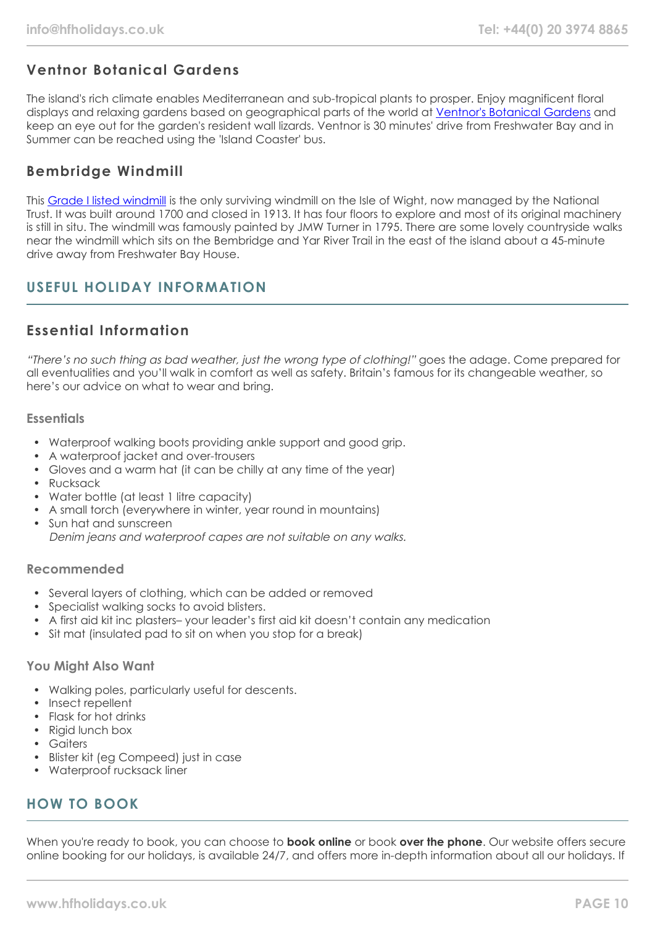# **Ventnor Botanical Gardens**

The island's rich climate enables Mediterranean and sub-tropical plants to prosper. Enjoy magnificent floral displays and relaxing gardens based on geographical parts of the world at [Ventnor's Botanical Gardens](https://www.botanic.co.uk/) and keep an eye out for the garden's resident wall lizards. Ventnor is 30 minutes' drive from Freshwater Bay and in Summer can be reached using the 'Island Coaster' bus.

# **Bembridge Windmill**

This [Grade I listed windmill](https://www.nationaltrust.org.uk/bembridge-windmill) is the only surviving windmill on the Isle of Wight, now managed by the National Trust. It was built around 1700 and closed in 1913. It has four floors to explore and most of its original machinery is still in situ. The windmill was famously painted by JMW Turner in 1795. There are some lovely countryside walks near the windmill which sits on the Bembridge and Yar River Trail in the east of the island about a 45-minute drive away from Freshwater Bay House.

# **USEFUL HOLIDAY INFORMATION**

# **Essential Information**

"There's no such thing as bad weather, just the wrong type of clothing!" goes the adage. Come prepared for all eventualities and you'll walk in comfort as well as safety. Britain's famous for its changeable weather, so here's our advice on what to wear and bring.

#### **Essentials**

- Waterproof walking boots providing ankle support and good grip.
- A waterproof jacket and over-trousers
- Gloves and a warm hat (it can be chilly at any time of the year)
- Rucksack
- Water bottle (at least 1 litre capacity)
- A small torch (everywhere in winter, year round in mountains)
- Sun hat and sunscreen Denim jeans and waterproof capes are not suitable on any walks.

#### **Recommended**

- Several layers of clothing, which can be added or removed
- Specialist walking socks to avoid blisters.
- A first aid kit inc plasters– your leader's first aid kit doesn't contain any medication
- Sit mat (insulated pad to sit on when you stop for a break)

#### **You Might Also Want**

- Walking poles, particularly useful for descents.
- Insect repellent
- Flask for hot drinks
- Rigid lunch box
- Gaiters
- Blister kit (eg Compeed) just in case
- Waterproof rucksack liner

## **HOW TO BOOK**

When you're ready to book, you can choose to **book online** or book **over the phone**. Our website offers secure online booking for our holidays, is available 24/7, and offers more in-depth information about all our holidays. If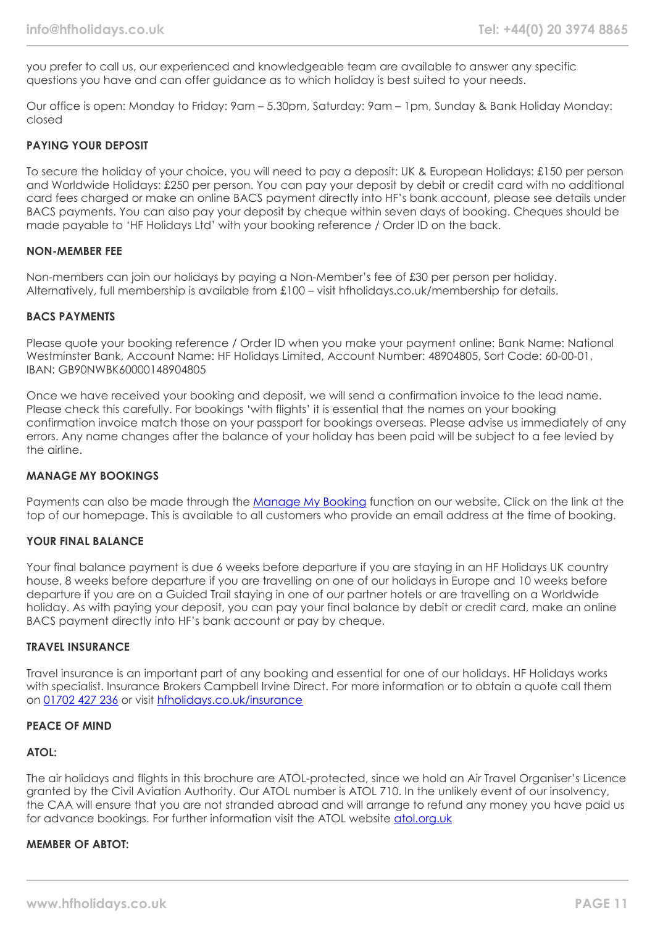you prefer to call us, our experienced and knowledgeable team are available to answer any specific questions you have and can offer guidance as to which holiday is best suited to your needs.

Our office is open: Monday to Friday: 9am – 5.30pm, Saturday: 9am – 1pm, Sunday & Bank Holiday Monday: closed

#### **PAYING YOUR DEPOSIT**

To secure the holiday of your choice, you will need to pay a deposit: UK & European Holidays: £150 per person and Worldwide Holidays: £250 per person. You can pay your deposit by debit or credit card with no additional card fees charged or make an online BACS payment directly into HF's bank account, please see details under BACS payments. You can also pay your deposit by cheque within seven days of booking. Cheques should be made payable to 'HF Holidays Ltd' with your booking reference / Order ID on the back.

#### **NON-MEMBER FEE**

Non-members can join our holidays by paying a Non-Member's fee of £30 per person per holiday. Alternatively, full membership is available from £100 – visit hfholidays.co.uk/membership for details.

#### **BACS PAYMENTS**

Please quote your booking reference / Order ID when you make your payment online: Bank Name: National Westminster Bank, Account Name: HF Holidays Limited, Account Number: 48904805, Sort Code: 60-00-01, IBAN: GB90NWBK60000148904805

Once we have received your booking and deposit, we will send a confirmation invoice to the lead name. Please check this carefully. For bookings 'with flights' it is essential that the names on your booking confirmation invoice match those on your passport for bookings overseas. Please advise us immediately of any errors. Any name changes after the balance of your holiday has been paid will be subject to a fee levied by the airline.

#### **MANAGE MY BOOKINGS**

Payments can also be made through the [Manage My Booking](https://www.hfholidays.co.uk/about-us/bookings/my-booking) function on our website. Click on the link at the top of our homepage. This is available to all customers who provide an email address at the time of booking.

#### **YOUR FINAL BALANCE**

Your final balance payment is due 6 weeks before departure if you are staying in an HF Holidays UK country house, 8 weeks before departure if you are travelling on one of our holidays in Europe and 10 weeks before departure if you are on a Guided Trail staying in one of our partner hotels or are travelling on a Worldwide holiday. As with paying your deposit, you can pay your final balance by debit or credit card, make an online BACS payment directly into HF's bank account or pay by cheque.

#### **TRAVEL INSURANCE**

Travel insurance is an important part of any booking and essential for one of our holidays. HF Holidays works with specialist. Insurance Brokers Campbell Irvine Direct. For more information or to obtain a quote call them on [01702 427 236](tel:01702427236) or visit [hfholidays.co.uk/insurance](https://www.hfholidays.co.uk/about-us/bookings/insurance)

#### **PEACE OF MIND**

#### **ATOL:**

The air holidays and flights in this brochure are ATOL-protected, since we hold an Air Travel Organiser's Licence granted by the Civil Aviation Authority. Our ATOL number is ATOL 710. In the unlikely event of our insolvency, the CAA will ensure that you are not stranded abroad and will arrange to refund any money you have paid us for advance bookings. For further information visit the ATOL website [atol.org.uk](https://www.atol.org/)

#### **MEMBER OF ABTOT:**